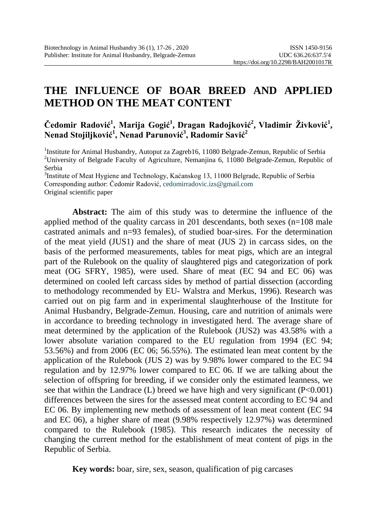# **THE INFLUENCE OF BOAR BREED AND APPLIED METHOD ON THE MEAT CONTENT**

 $\check{\text{C}}$ edomir Radović<sup>1</sup>, Marija Gogić<sup>1</sup>, Dragan Radojković<sup>2</sup>, Vladimir Živković<sup>1</sup>, **Nenad Stojiljković<sup>1</sup> , Nenad Parunović<sup>3</sup> , Radomir Savić<sup>2</sup>**

<sup>1</sup>Institute for Animal Husbandry, Autoput za Zagreb16, 11080 Belgrade-Zemun, Republic of Serbia<br><sup>2</sup>University of Belgrade Faculty of Agriculture, Nemaniina 6, 11080 Belgrade Zemun, Republic <sup>2</sup>University of Belgrade Faculty of Agriculture, Nemanjina 6, 11080 Belgrade-Zemun, Republic of Serbia

<sup>3</sup>Institute of Meat Hygiene and Technology, Kaćanskog 13, 11000 Belgrade, Republic of Serbia Corresponding author: Čedomir Radović, [cedomirradovic.izs@gmail.com](mailto:cedomirradovic.izs@gmail.com) Original scientific paper

**Abstract:** The aim of this study was to determine the influence of the applied method of the quality carcass in 201 descendants, both sexes  $(n=108 \text{ male})$ castrated animals and n=93 females), of studied boar-sires. For the determination of the meat yield (JUS1) and the share of meat (JUS 2) in carcass sides, on the basis of the performed measurements, tables for meat pigs, which are an integral part of the Rulebook on the quality of slaughtered pigs and categorization of pork meat (OG SFRY, 1985), were used. Share of meat (EC 94 and EC 06) was determined on cooled left carcass sides by method of partial dissection (according to methodology recommended by EU- Walstra and Merkus, 1996). Research was carried out on pig farm and in experimental slaughterhouse of the Institute for Animal Husbandry, Belgrade-Zemun. Housing, care and nutrition of animals were in accordance to breeding technology in investigated herd. The average share of meat determined by the application of the Rulebook (JUS2) was 43.58% with a lower absolute variation compared to the EU regulation from 1994 (EC 94; 53.56%) and from 2006 (EC 06; 56.55%). The estimated lean meat content by the application of the Rulebook (JUS 2) was by 9.98% lower compared to the EC 94 regulation and by 12.97% lower compared to EC 06. If we are talking about the selection of offspring for breeding, if we consider only the estimated leanness, we see that within the Landrace (L) breed we have high and very significant  $(P<0.001)$ differences between the sires for the assessed meat content according to EC 94 and EC 06. By implementing new methods of assessment of lean meat content (EC 94 and EC 06), a higher share of meat (9.98% respectively 12.97%) was determined compared to the Rulebook (1985). This research indicates the necessity of changing the current method for the establishment of meat content of pigs in the Republic of Serbia.

**Key words:** boar, sire, sex, season, qualification of pig carcases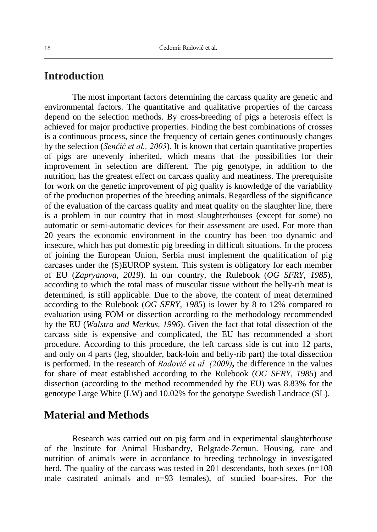#### **Introduction**

The most important factors determining the carcass quality are genetic and environmental factors. The quantitative and qualitative properties of the carcass depend on the selection methods. By cross-breeding of pigs a heterosis effect is achieved for major productive properties. Finding the best combinations of crosses is a continuous process, since the frequency of certain genes continuously changes by the selection (*Senčić et al., 2003*). It is known that certain quantitative properties of pigs are unevenly inherited, which means that the possibilities for their improvement in selection are different. The pig genotype, in addition to the nutrition, has the greatest effect on carcass quality and meatiness. The prerequisite for work on the genetic improvement of pig quality is knowledge of the variability of the production properties of the breeding animals. Regardless of the significance of the evaluation of the carcass quality and meat quality on the slaughter line, there is a problem in our country that in most slaughterhouses (except for some) no automatic or semi-automatic devices for their assessment are used. For more than 20 years the economic environment in the country has been too dynamic and insecure, which has put domestic pig breeding in difficult situations. In the process of joining the European Union, Serbia must implement the qualification of pig carcases under the (S)EUROP system. This system is obligatory for each member of EU (*Zapryanova, 2019*). In our country, the Rulebook (*OG SFRY, 1985*), according to which the total mass of muscular tissue without the belly-rib meat is determined, is still applicable. Due to the above, the content of meat determined according to the Rulebook (*OG SFRY, 1985*) is lower by 8 to 12% compared to evaluation using FOM or dissection according to the methodology recommended by the EU (*Walstra and Merkus, 1996*). Given the fact that total dissection of the carcass side is expensive and complicated, the EU has recommended a short procedure. According to this procedure, the left carcass side is cut into 12 parts, and only on 4 parts (leg, shoulder, back-loin and belly-rib part) the total dissection is performed. In the research of *Radović et al. (2009)***,** the difference in the values for share of meat established according to the Rulebook (*OG SFRY, 1985*) and dissection (according to the method recommended by the EU) was 8.83% for the genotype Large White (LW) and 10.02% for the genotype Swedish Landrace (SL).

# **Material and Methods**

Research was carried out on pig farm and in experimental slaughterhouse of the Institute for Animal Husbandry, Belgrade-Zemun. Housing, care and nutrition of animals were in accordance to breeding technology in investigated herd. The quality of the carcass was tested in 201 descendants, both sexes (n=108) male castrated animals and n=93 females), of studied boar-sires. For the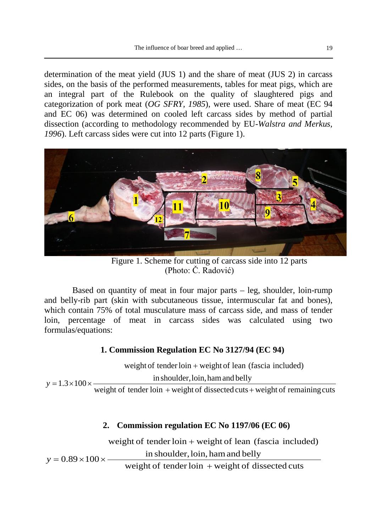determination of the meat yield (JUS 1) and the share of meat (JUS 2) in carcass sides, on the basis of the performed measurements, tables for meat pigs, which are an integral part of the Rulebook on the quality of slaughtered pigs and categorization of pork meat (*OG SFRY, 1985*), were used. Share of meat (EC 94 and EC 06) was determined on cooled left carcass sides by method of partial dissection (according to methodology recommended by EU-*Walstra and Merkus, 1996*). Left carcass sides were cut into 12 parts (Figure 1).



 Figure 1. Scheme for cutting of carcass side into 12 parts (Photo: Č. Radović)

Based on quantity of meat in four major parts – leg, shoulder, loin-rump and belly-rib part (skin with subcutaneous tissue, intermuscular fat and bones), which contain 75% of total musculature mass of carcass side, and mass of tender loin, percentage of meat in carcass sides was calculated using two formulas/equations:

#### **1. Commission Regulation EC No 3127/94 (EC 94)**

weight of tender loin  $+$  weight of dissected cuts  $+$  weight of remaining cuts in shoulder, loin, ham and belly weight of tender loin + weight of lean (fascia included) 1.3 100 + + *y* = × ×

#### **2. Commission regulation EC No 1197/06 (EC 06)**

weight of tender loin + weight of lean (fascia included)

in shoulder, loin, ham and belly

 $y = 0.89 \times 100 \times$ 

weight of tender  $\text{loin} + \text{weight}$  of dissected cuts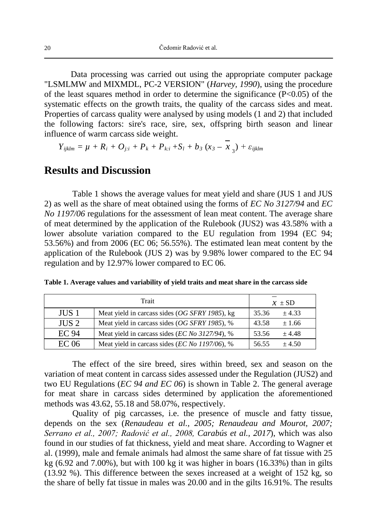Data processing was carried out using the appropriate computer package "LSMLMW and MIXMDL, PC-2 VERSION" (*Harvey, 1990*), using the procedure of the least squares method in order to determine the significance (P<0.05) of the systematic effects on the growth traits, the quality of the carcass sides and meat. Properties of carcass quality were analysed by using models (1 and 2) that included the following factors: sire's race, sire, sex, offspring birth season and linear influence of warm carcass side weight.

$$
Y_{ijklm} = \mu + R_i + O_{j:i} + P_k + P_{k:i} + S_l + b_3 (x_3 - x_3) + \varepsilon_{ijklm}
$$

## **Results and Discussion**

Table 1 shows the average values for meat yield and share (JUS 1 and JUS 2) as well as the share of meat obtained using the forms of *EC No 3127/94* and *EC No 1197/06* regulations for the assessment of lean meat content. The average share of meat determined by the application of the Rulebook (JUS2) was 43.58% with a lower absolute variation compared to the EU regulation from 1994 (EC 94; 53.56%) and from 2006 (EC 06; 56.55%). The estimated lean meat content by the application of the Rulebook (JUS 2) was by 9.98% lower compared to the EC 94 regulation and by 12.97% lower compared to EC 06.

|                  | $x \pm SD$                                     |                     |  |
|------------------|------------------------------------------------|---------------------|--|
| JUS <sub>1</sub> | Meat yield in carcass sides (OG SFRY 1985), kg | 35.36<br>$\pm$ 4.33 |  |
| JUS <sub>2</sub> | Meat yield in carcass sides (OG SFRY 1985), %  | 43.58<br>±1.66      |  |
| EC 94            | Meat yield in carcass sides (EC No 3127/94), % | 53.56<br>$+4.48$    |  |
| EC 06            | Meat yield in carcass sides (EC No 1197/06), % | 56.55<br>$+4.50$    |  |

**Table 1. Average values and variability of yield traits and meat share in the carcass side**

The effect of the sire breed, sires within breed, sex and season on the variation of meat content in carcass sides assessed under the Regulation (JUS2) and two EU Regulations (*EC 94 and EC 06*) is shown in Table 2. The general average for meat share in carcass sides determined by application the aforementioned methods was 43.62, 55.18 and 58.07%, respectively.

Quality of pig carcasses, i.e. the presence of muscle and fatty tissue, depends on the sex (*Renaudeau et al., 2005; Renaudeau and Mourot, 2007; Serrano et al., 2007; Radović et al., 2008, Carabús et al., 2017*), which was also found in our studies of fat thickness, yield and meat share. According to Wagner et al. (1999), male and female animals had almost the same share of fat tissue with 25 kg  $(6.92 \text{ and } 7.00\%)$ , but with 100 kg it was higher in boars  $(16.33\%)$  than in gilts (13.92 %). This difference between the sexes increased at a weight of 152 kg, so the share of belly fat tissue in males was 20.00 and in the gilts 16.91%. The results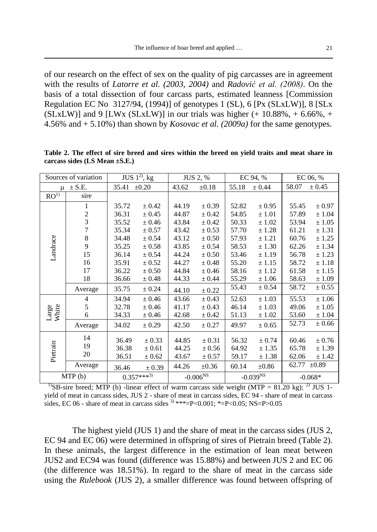of our research on the effect of sex on the quality of pig carcasses are in agreement with the results of *Latorre et al. (2003, 2004)* and *Radović et al. (2008)*. On the basis of a total dissection of four carcass parts, estimated leanness [Commission Regulation EC No 3127/94, (1994)] of genotypes 1 (SL), 6 [Px (SLxLW)], 8 [SLx (SLxLW)] and 9 [LWx (SLxLW)] in our trials was higher  $(+ 10.88\%, +6.66\%, +$ 4.56% and + 5.10%) than shown by *Kosovac et al. (2009a)* for the same genotypes.

| Sources of variation |                | JUS $1^{2}$ , kg |            | JUS 2, % |               | EC 94, % |               | EC 06, % |            |
|----------------------|----------------|------------------|------------|----------|---------------|----------|---------------|----------|------------|
| $\mu \pm S.E.$       |                | 35.41            | $\pm 0.20$ | 43.62    | $\pm 0.18$    | 55.18    | $\pm 0.44$    | 58.07    | $\pm 0.45$ |
| RO <sup>1</sup>      | sire           |                  |            |          |               |          |               |          |            |
| Landrace             | 1              | 35.72            | $\pm 0.42$ | 44.19    | $\pm 0.39$    | 52.82    | ± 0.95        | 55.45    | ± 0.97     |
|                      | $\overline{c}$ | 36.31            | $\pm 0.45$ | 44.87    | $\pm 0.42$    | 54.85    | ± 1.01        | 57.89    | ± 1.04     |
|                      | 3              | 35.52            | $\pm 0.46$ | 43.84    | $\pm 0.42$    | 50.33    | $\pm 1.02$    | 53.94    | ± 1.05     |
|                      | $\overline{7}$ | 35.34            | $\pm 0.57$ | 43.42    | $\pm 0.53$    | 57.70    | ± 1.28        | 61.21    | ± 1.31     |
|                      | 8              | 34.48            | $\pm 0.54$ | 43.12    | $\pm 0.50$    | 57.93    | ± 1.21        | 60.76    | $\pm$ 1.25 |
|                      | 9              | 35.25            | $\pm 0.58$ | 43.85    | $\pm 0.54$    | 58.53    | ± 1.30        | 62.26    | ± 1.34     |
|                      | 15             | 36.14            | $\pm 0.54$ | 44.24    | $\pm 0.50$    | 53.46    | ± 1.19        | 56.78    | ± 1.23     |
|                      | 16             | 35.91            | $\pm 0.52$ | 44.27    | $\pm 0.48$    | 55.20    | ± 1.15        | 58.72    | ± 1.18     |
|                      | 17             | 36.22            | $\pm 0.50$ | 44.84    | $\pm 0.46$    | 58.16    | ± 1.12        | 61.58    | ± 1.15     |
|                      | 18             | 36.66            | ± 0.48     | 44.33    | ± 0.44        | 55.29    | ± 1.06        | 58.63    | ±1.09      |
|                      | Average        | 35.75            | ± 0.24     | 44.10    | $\pm 0.22$    | 55.43    | ± 0.54        | 58.72    | $\pm 0.55$ |
|                      | 4              | 34.94            | $\pm 0.46$ | 43.66    | $\pm 0.43$    | 52.63    | ± 1.03        | 55.53    | ±1.06      |
|                      | 5              | 32.78            | $\pm 0.46$ | 41.17    | $\pm 0.43$    | 46.14    | $\pm 1.03$    | 49.06    | ± 1.05     |
| Large<br>White       | 6              | 34.33            | $\pm 0.46$ | 42.68    | ± 0.42        | 51.13    | $\pm$ 1.02    | 53.60    | ± 1.04     |
|                      | Average        | 34.02            | $\pm 0.29$ | 42.50    | $\pm 0.27$    | 49.97    | $\pm 0.65$    | 52.73    | $\pm 0.66$ |
| Pietrain             | 14             | 36.49            | $\pm 0.33$ | 44.85    | $\pm 0.31$    | 56.32    | $\pm 0.74$    | 60.46    | $\pm 0.76$ |
|                      | 19             | 36.38            | $\pm 0.61$ | 44.25    | $\pm 0.56$    | 64.92    | ± 1.35        | 65.78    | ± 1.39     |
|                      | 20             | 36.51            | ± 0.62     | 43.67    | $\pm 0.57$    | 59.17    | ± 1.38        | 62.06    | ± 1.42     |
|                      | Average        | 36.46            | $\pm 0.39$ | 44.26    | $\pm 0.36$    | 60.14    | $\pm 0.86$    | 62.77    | $\pm 0.89$ |
| MTP(b)               |                | $0.357***^{3)}$  |            |          | $-0.006^{NS}$ |          | $-0.039^{NS}$ |          | $-0.068*$  |

**Table 2. The effect of sire breed and sires within the breed on yield traits and meat share in carcass sides (LS Mean ±S.E.)**

<sup>1</sup>SB-sire breed; MTP (b) -linear effect of warm carcass side weight (MTP = 81.20 kg); <sup>2)</sup> JUS 1yield of meat in carcass sides, JUS 2 - share of meat in carcass sides, EC 94 - share of meat in carcass sides, EC 06 - share of meat in carcass sides  $3$  \*\*\*=P<0.001; \*=P<0.05; NS=P>0.05

The highest yield (JUS 1) and the share of meat in the carcass sides (JUS 2, EC 94 and EC 06) were determined in offspring of sires of Pietrain breed (Table 2). In these animals, the largest difference in the estimation of lean meat between JUS2 and EC94 was found (difference was 15.88%) and between JUS 2 and EC 06 (the difference was 18.51%). In regard to the share of meat in the carcass side using the *Rulebook* (JUS 2), a smaller difference was found between offspring of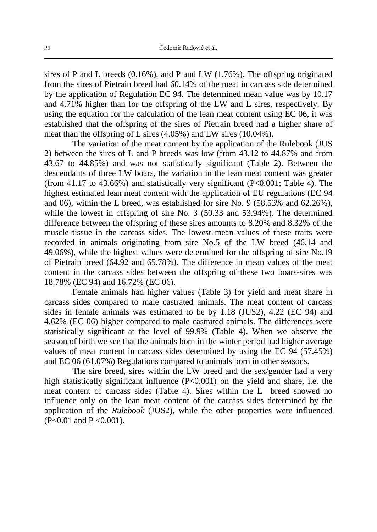sires of P and L breeds (0.16%), and P and LW (1.76%). The offspring originated from the sires of Pietrain breed had 60.14% of the meat in carcass side determined by the application of Regulation EC 94. The determined mean value was by 10.17 and 4.71% higher than for the offspring of the LW and L sires, respectively. By using the equation for the calculation of the lean meat content using EC 06, it was established that the offspring of the sires of Pietrain breed had a higher share of meat than the offspring of L sires (4.05%) and LW sires (10.04%).

The variation of the meat content by the application of the Rulebook (JUS 2) between the sires of L and P breeds was low (from 43.12 to 44.87% and from 43.67 to 44.85%) and was not statistically significant (Table 2). Between the descendants of three LW boars, the variation in the lean meat content was greater (from 41.17 to 43.66%) and statistically very significant  $(P<0.001$ ; Table 4). The highest estimated lean meat content with the application of EU regulations (EC 94 and 06), within the L breed, was established for sire No. 9 (58.53% and 62.26%), while the lowest in offspring of sire No. 3 (50.33 and 53.94%). The determined difference between the offspring of these sires amounts to 8.20% and 8.32% of the muscle tissue in the carcass sides. The lowest mean values of these traits were recorded in animals originating from sire No.5 of the LW breed (46.14 and 49.06%), while the highest values were determined for the offspring of sire No.19 of Pietrain breed (64.92 and 65.78%). The difference in mean values of the meat content in the carcass sides between the offspring of these two boars-sires was 18.78% (EC 94) and 16.72% (EC 06).

Female animals had higher values (Table 3) for yield and meat share in carcass sides compared to male castrated animals. The meat content of carcass sides in female animals was estimated to be by 1.18 (JUS2), 4.22 (EC 94) and 4.62% (EC 06) higher compared to male castrated animals. The differences were statistically significant at the level of 99.9% (Table 4). When we observe the season of birth we see that the animals born in the winter period had higher average values of meat content in carcass sides determined by using the EC 94 (57.45%) and EC 06 (61.07%) Regulations compared to animals born in other seasons.

The sire breed, sires within the LW breed and the sex/gender had a very high statistically significant influence (P<0.001) on the yield and share, i.e. the meat content of carcass sides (Table 4). Sires within the L breed showed no influence only on the lean meat content of the carcass sides determined by the application of the *Rulebook* (JUS2), while the other properties were influenced (P<0.01 and P <0.001).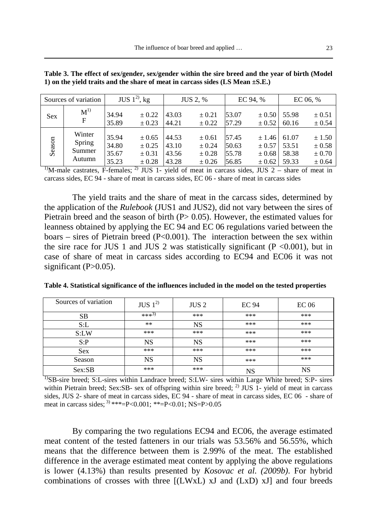|            | Sources of variation                 |                                  | JUS $1^{2}$ , kg                             |                                  | <b>JUS 2, %</b>                          |                                  | EC 94, %                                                         |                | EC 06, $%$                                       |
|------------|--------------------------------------|----------------------------------|----------------------------------------------|----------------------------------|------------------------------------------|----------------------------------|------------------------------------------------------------------|----------------|--------------------------------------------------|
| <b>Sex</b> | $M^{1)}$<br>F                        | 34.94<br>35.89                   | $\pm 0.22$<br>$\pm 0.23$                     | 43.03<br>44.21                   | $\pm 0.21$<br>$\pm 0.22$                 | 53.07<br>57.29                   | $\pm 0.50$<br>$\pm$ 0.52                                         | 55.98<br>60.16 | $\pm 0.51$<br>$\pm 0.54$                         |
| Season     | Winter<br>Spring<br>Summer<br>Autumn | 35.94<br>34.80<br>35.67<br>35.23 | ± 0.65<br>± 0.25<br>$\pm 0.31$<br>$\pm 0.28$ | 44.53<br>43.10<br>43.56<br>43.28 | ± 0.61<br>± 0.24<br>$\pm 0.28$<br>± 0.26 | 57.45<br>50.63<br>55.78<br>56.85 | $\pm 1.46$ 61.07<br>$\pm 0.57$ 53.51<br>$\pm 0.68$<br>$\pm 0.62$ | 58.38<br>59.33 | ± 1.50<br>$\pm 0.58$<br>$\pm 0.70$<br>$\pm 0.64$ |

**Table 3. The effect of sex/gender, sex/gender within the sire breed and the year of birth (Model 1) on the yield traits and the share of meat in carcass sides (LS Mean ±S.E.)**

<sup>1</sup>M-male castrates, F-females; <sup>2)</sup> JUS 1- yield of meat in carcass sides, JUS 2 – share of meat in carcass sides, EC 94 - share of meat in carcass sides, EC 06 - share of meat in carcass sides

The yield traits and the share of meat in the carcass sides, determined by the application of the *Rulebook* (JUS1 and JUS2), did not vary between the sires of Pietrain breed and the season of birth  $(P> 0.05)$ . However, the estimated values for leanness obtained by applying the EC 94 and EC 06 regulations varied between the boars – sires of Pietrain breed  $(P<0.001)$ . The interaction between the sex within the sire race for JUS 1 and JUS 2 was statistically significant ( $P < 0.001$ ), but in case of share of meat in carcass sides according to EC94 and EC06 it was not significant  $(P>0.05)$ .

| Sources of variation | JUS $1^{2}$       | JUS <sub>2</sub> | <b>EC 94</b> | EC <sub>06</sub> |
|----------------------|-------------------|------------------|--------------|------------------|
| <b>SB</b>            | *** <sup>3)</sup> | ***              | ***          | ***              |
| S: L                 | $***$             | NS               | ***          | ***              |
| S: LW                | ***               | ***              | ***          | ***              |
| S: P                 | <b>NS</b>         | NS               | ***          | ***              |
| <b>Sex</b>           | ***               | ***              | ***          | ***              |
| Season               | NS                | NS               | ***          | ***              |
| Sex:SB               | ***               | ***              | NS           | NS               |

**Table 4. Statistical significance of the influences included in the model on the tested properties**

<sup>1)</sup>SB-sire breed; S:L-sires within Landrace breed; S:LW- sires within Large White breed; S:P- sires within Pietrain breed; Sex:SB- sex of offspring within sire breed;  $^{2}$  JUS 1- yield of meat in carcass sides, JUS 2- share of meat in carcass sides, EC 94 - share of meat in carcass sides, EC 06 - share of meat in carcass sides;  $3**=P<0.001$ ;  $**=P<0.01$ ; NS=P>0.05

By comparing the two regulations EC94 and EC06, the average estimated meat content of the tested fatteners in our trials was 53.56% and 56.55%, which means that the difference between them is 2.99% of the meat. The established difference in the average estimated meat content by applying the above regulations is lower (4.13%) than results presented by *Kosovac et al. (2009b)*. For hybrid combinations of crosses with three [(LWxL) xJ and (LxD) xJ] and four breeds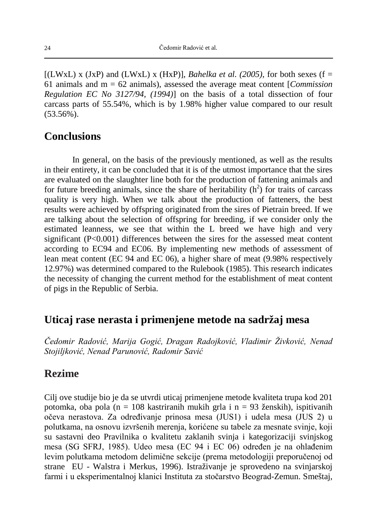$[(LWxL) \times (JxP)$  and  $(LWxL) \times (HxP)]$ , *Bahelka et al.* (2005), for both sexes (f = 61 animals and m = 62 animals), assessed the average meat content [*Commission Regulation EC No 3127/94, (1994)*] on the basis of a total dissection of four carcass parts of 55.54%, which is by 1.98% higher value compared to our result (53.56%).

#### **Conclusions**

In general, on the basis of the previously mentioned, as well as the results in their entirety, it can be concluded that it is of the utmost importance that the sires are evaluated on the slaughter line both for the production of fattening animals and for future breeding animals, since the share of heritability  $(h<sup>2</sup>)$  for traits of carcass quality is very high. When we talk about the production of fatteners, the best results were achieved by offspring originated from the sires of Pietrain breed. If we are talking about the selection of offspring for breeding, if we consider only the estimated leanness, we see that within the L breed we have high and very significant  $(P<0.001)$  differences between the sires for the assessed meat content according to EC94 and EC06. By implementing new methods of assessment of lean meat content (EC 94 and EC 06), a higher share of meat (9.98% respectively 12.97%) was determined compared to the Rulebook (1985). This research indicates the necessity of changing the current method for the establishment of meat content of pigs in the Republic of Serbia.

### **Uticaj rase nerasta i primenjene metode na sadržaj mesa**

*Čedomir Radović, Marija Gogić, Dragan Radojković, Vladimir Živković, Nenad Stojiljković, Nenad Parunović, Radomir Savić*

### **Rezime**

Cilj ove studije bio je da se utvrdi uticaj primenjene metode kvaliteta trupa kod 201 potomka, oba pola (n = 108 kastriranih mukih grla i n = 93 ženskih), ispitivanih očeva nerastova. Za određivanje prinosa mesa (JUS1) i udela mesa (JUS 2) u polutkama, na osnovu izvršenih merenja, korićene su tabele za mesnate svinje, koji su sastavni deo Pravilnika o kvalitetu zaklanih svinja i kategorizaciji svinjskog mesa (SG SFRJ, 1985). Udeo mesa (EC 94 i EC 06) određen je na ohlađenim levim polutkama metodom delimične sekcije (prema metodologiji preporučenoj od strane EU - Walstra i Merkus, 1996). Istraživanje je sprovedeno na svinjarskoj farmi i u eksperimentalnoj klanici Instituta za stočarstvo Beograd-Zemun. Smeštaj,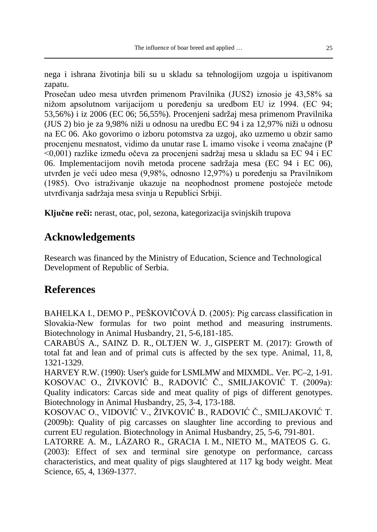nega i ishrana životinja bili su u skladu sa tehnologijom uzgoja u ispitivanom zapatu.

Prosečan udeo mesa utvrđen primenom Pravilnika (JUS2) iznosio je 43,58% sa nižom apsolutnom varijacijom u poređenju sa uredbom EU iz 1994. (EC 94; 53,56%) i iz 2006 (EC 06; 56,55%). Procenjeni sadržaj mesa primenom Pravilnika (JUS 2) bio je za 9,98% niži u odnosu na uredbu EC 94 i za 12,97% niži u odnosu na EC 06. Ako govorimo o izboru potomstva za uzgoj, ako uzmemo u obzir samo procenjenu mesnatost, vidimo da unutar rase L imamo visoke i veoma značajne (P <0,001) razlike između očeva za procenjeni sadržaj mesa u skladu sa EC 94 i EC 06. Implementacijom novih metoda procene sadržaja mesa (EC 94 i EC 06), utvrđen je veći udeo mesa (9,98%, odnosno 12,97%) u poređenju sa Pravilnikom (1985). Ovo istraživanje ukazuje na neophodnost promene postojeće metode utvrđivanja sadržaja mesa svinja u Republici Srbiji.

**Ključne reči:** nerast, otac, pol, sezona, kategorizacija svinjskih trupova

# **Acknowledgements**

Research was financed by the Ministry of Education, Science and Technological Development of Republic of Serbia.

# **References**

BAHELKA I., DEMO P., PEŠKOVIČOVÁ D. (2005): Pig carcass classification in Slovakia-New formulas for two point method and measuring instruments. Biotechnology in Animal Husbandry, 21, 5-6,181-185.

CARABÚS A., SAINZ D. R., OLTJEN W. J., GISPERT M. (2017): Growth of total fat and lean and of primal cuts is affected by the sex type. Animal, 11, 8, 1321-1329.

HARVEY R.W. (1990): User's guide for LSMLMW and MIXMDL. Ver. PC–2, 1-91. KOSOVAC O., ŽIVKOVIĆ B., RADOVIĆ Č., SMILJAKOVIĆ T. (2009a): Quality indicators: Carcas side and meat quality of pigs of different genotypes. Biotechnology in Animal Husbandry, 25, 3-4, 173-188.

KOSOVAC O., VIDOVIĆ V., ŽIVKOVIĆ B., RADOVIĆ Č., SMILJAKOVIĆ T. (2009b): Quality of pig carcasses on slaughter line according to previous and current EU regulation. Biotechnology in Animal Husbandry, 25, 5-6, 791-801.

LATORRE A. M., LÁZARO R., GRACIA I. M., NIETO M., MATEOS G. G. (2003): Effect of sex and terminal sire genotype on performance, carcass characteristics, and meat quality of pigs slaughtered at 117 kg body weight. Meat Science, 65, 4, 1369-1377.